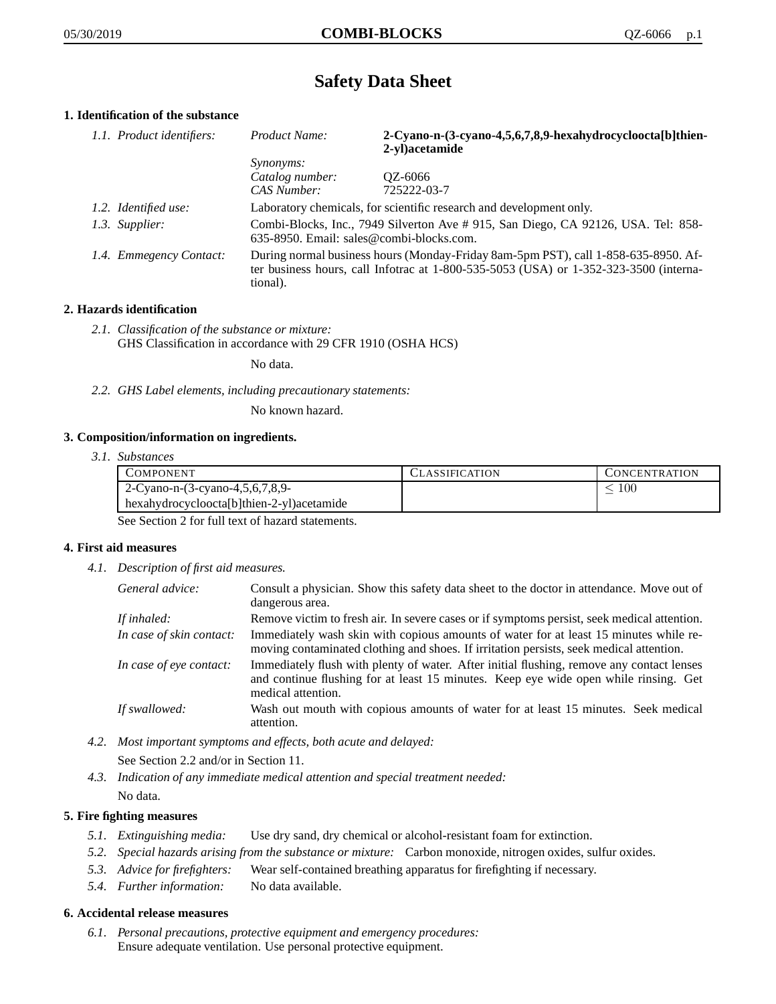# **Safety Data Sheet**

# **1. Identification of the substance**

| 1.1. Product identifiers: | Product Name:                                                                                                                                                                               | 2-Cyano-n-(3-cyano-4,5,6,7,8,9-hexahydrocycloocta[b]thien-<br>2-yl)acetamide |
|---------------------------|---------------------------------------------------------------------------------------------------------------------------------------------------------------------------------------------|------------------------------------------------------------------------------|
|                           | <i>Synonyms:</i>                                                                                                                                                                            |                                                                              |
|                           | Catalog number:                                                                                                                                                                             | QZ-6066                                                                      |
|                           | CAS Number:                                                                                                                                                                                 | 725222-03-7                                                                  |
| 1.2. Identified use:      | Laboratory chemicals, for scientific research and development only.                                                                                                                         |                                                                              |
| 1.3. Supplier:            | Combi-Blocks, Inc., 7949 Silverton Ave #915, San Diego, CA 92126, USA. Tel: 858-<br>635-8950. Email: sales@combi-blocks.com.                                                                |                                                                              |
| 1.4. Emmegency Contact:   | During normal business hours (Monday-Friday 8am-5pm PST), call 1-858-635-8950. Af-<br>ter business hours, call Infotrac at $1-800-535-5053$ (USA) or $1-352-323-3500$ (interna-<br>tional). |                                                                              |

## **2. Hazards identification**

*2.1. Classification of the substance or mixture:* GHS Classification in accordance with 29 CFR 1910 (OSHA HCS)

No data.

*2.2. GHS Label elements, including precautionary statements:*

No known hazard.

## **3. Composition/information on ingredients.**

*3.1. Substances*

| COMPONENT                                 | <b>CLASSIFICATION</b> | <b>CONCENTRATION</b> |
|-------------------------------------------|-----------------------|----------------------|
| 2-Cyano-n- $(3$ -cyano-4,5,6,7,8,9-       |                       | 100                  |
| hexahydrocycloocta[b]thien-2-yl)acetamide |                       |                      |

See Section 2 for full text of hazard statements.

## **4. First aid measures**

*4.1. Description of first aid measures.*

| General advice:          | Consult a physician. Show this safety data sheet to the doctor in attendance. Move out of<br>dangerous area.                                                                                            |
|--------------------------|---------------------------------------------------------------------------------------------------------------------------------------------------------------------------------------------------------|
| If inhaled:              | Remove victim to fresh air. In severe cases or if symptoms persist, seek medical attention.                                                                                                             |
| In case of skin contact: | Immediately wash skin with copious amounts of water for at least 15 minutes while re-<br>moving contaminated clothing and shoes. If irritation persists, seek medical attention.                        |
| In case of eye contact:  | Immediately flush with plenty of water. After initial flushing, remove any contact lenses<br>and continue flushing for at least 15 minutes. Keep eye wide open while rinsing. Get<br>medical attention. |
| If swallowed:            | Wash out mouth with copious amounts of water for at least 15 minutes. Seek medical<br>attention.                                                                                                        |

- *4.2. Most important symptoms and effects, both acute and delayed:* See Section 2.2 and/or in Section 11.
- *4.3. Indication of any immediate medical attention and special treatment needed:* No data.

## **5. Fire fighting measures**

- *5.1. Extinguishing media:* Use dry sand, dry chemical or alcohol-resistant foam for extinction.
- *5.2. Special hazards arising from the substance or mixture:* Carbon monoxide, nitrogen oxides, sulfur oxides.
- *5.3. Advice for firefighters:* Wear self-contained breathing apparatus for firefighting if necessary.
- *5.4. Further information:* No data available.

## **6. Accidental release measures**

*6.1. Personal precautions, protective equipment and emergency procedures:* Ensure adequate ventilation. Use personal protective equipment.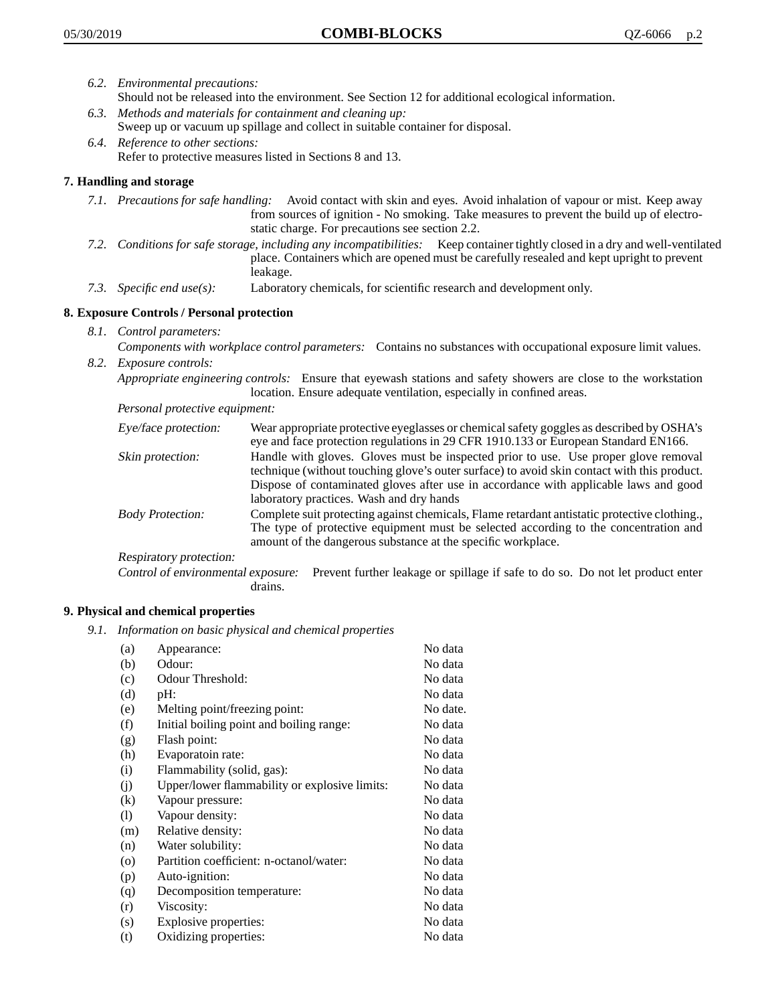- *6.2. Environmental precautions:* Should not be released into the environment. See Section 12 for additional ecological information.
- *6.3. Methods and materials for containment and cleaning up:* Sweep up or vacuum up spillage and collect in suitable container for disposal.
- *6.4. Reference to other sections:* Refer to protective measures listed in Sections 8 and 13.

## **7. Handling and storage**

- *7.1. Precautions for safe handling:* Avoid contact with skin and eyes. Avoid inhalation of vapour or mist. Keep away from sources of ignition - No smoking. Take measures to prevent the build up of electrostatic charge. For precautions see section 2.2.
- *7.2. Conditions for safe storage, including any incompatibilities:* Keep container tightly closed in a dry and well-ventilated place. Containers which are opened must be carefully resealed and kept upright to prevent leakage.
- *7.3. Specific end use(s):* Laboratory chemicals, for scientific research and development only.

# **8. Exposure Controls / Personal protection**

- *8.1. Control parameters:*
- *Components with workplace control parameters:* Contains no substances with occupational exposure limit values. *8.2. Exposure controls:*

*Appropriate engineering controls:* Ensure that eyewash stations and safety showers are close to the workstation location. Ensure adequate ventilation, especially in confined areas.

*Personal protective equipment:*

| Eye/face protection:    | Wear appropriate protective eyeglasses or chemical safety goggles as described by OSHA's<br>eye and face protection regulations in 29 CFR 1910.133 or European Standard EN166.                                                                                                                                         |
|-------------------------|------------------------------------------------------------------------------------------------------------------------------------------------------------------------------------------------------------------------------------------------------------------------------------------------------------------------|
| Skin protection:        | Handle with gloves. Gloves must be inspected prior to use. Use proper glove removal<br>technique (without touching glove's outer surface) to avoid skin contact with this product.<br>Dispose of contaminated gloves after use in accordance with applicable laws and good<br>laboratory practices. Wash and dry hands |
| <b>Body Protection:</b> | Complete suit protecting against chemicals, Flame retardant antistatic protective clothing.,<br>The type of protective equipment must be selected according to the concentration and<br>amount of the dangerous substance at the specific workplace.                                                                   |
| Respiratory protection: |                                                                                                                                                                                                                                                                                                                        |

Control of environmental exposure: Prevent further leakage or spillage if safe to do so. Do not let product enter drains.

## **9. Physical and chemical properties**

*9.1. Information on basic physical and chemical properties*

| (a)                          | Appearance:                                   | No data  |
|------------------------------|-----------------------------------------------|----------|
| (b)                          | Odour:                                        | No data  |
| (c)                          | Odour Threshold:                              | No data  |
| (d)                          | pH:                                           | No data  |
| (e)                          | Melting point/freezing point:                 | No date. |
| (f)                          | Initial boiling point and boiling range:      | No data  |
| (g)                          | Flash point:                                  | No data  |
| (h)                          | Evaporatoin rate:                             | No data  |
| (i)                          | Flammability (solid, gas):                    | No data  |
| (j)                          | Upper/lower flammability or explosive limits: | No data  |
| (k)                          | Vapour pressure:                              | No data  |
| $\left( \frac{1}{2} \right)$ | Vapour density:                               | No data  |
| (m)                          | Relative density:                             | No data  |
| (n)                          | Water solubility:                             | No data  |
| $\circ$                      | Partition coefficient: n-octanol/water:       | No data  |
| (p)                          | Auto-ignition:                                | No data  |
| (q)                          | Decomposition temperature:                    | No data  |
| (r)                          | Viscosity:                                    | No data  |
| (s)                          | Explosive properties:                         | No data  |
| (t)                          | Oxidizing properties:                         | No data  |